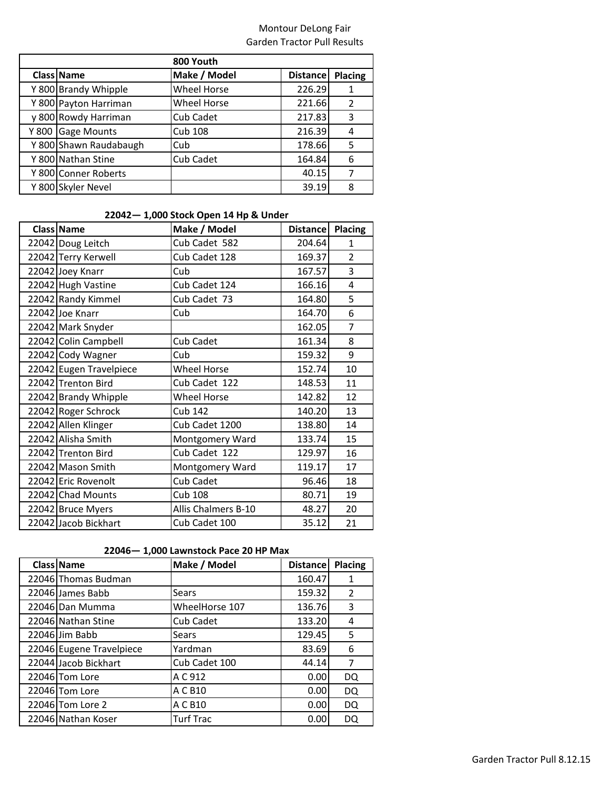| 800 Youth |                        |                    |                 |                |  |
|-----------|------------------------|--------------------|-----------------|----------------|--|
|           | Class Name             | Make / Model       | <b>Distance</b> | Placing        |  |
|           | Y 800 Brandy Whipple   | <b>Wheel Horse</b> | 226.29          | 1              |  |
|           | Y 800 Payton Harriman  | <b>Wheel Horse</b> | 221.66          | $\overline{2}$ |  |
|           | y 800 Rowdy Harriman   | Cub Cadet          | 217.83          | 3              |  |
|           | Y 800 Gage Mounts      | Cub 108            | 216.39          | 4              |  |
|           | Y 800 Shawn Raudabaugh | Cub                | 178.66          | 5              |  |
|           | Y 800 Nathan Stine     | Cub Cadet          | 164.84          | 6              |  |
|           | Y 800 Conner Roberts   |                    | 40.15           | 7              |  |
|           | Y 800 Skyler Nevel     |                    | 39.19           | 8              |  |

### **22042— 1,000 Stock Open 14 Hp & Under**

| Class Name              | Make / Model        | <b>Distance</b> | <b>Placing</b> |
|-------------------------|---------------------|-----------------|----------------|
| 22042 Doug Leitch       | Cub Cadet 582       | 204.64          | $\mathbf{1}$   |
| 22042 Terry Kerwell     | Cub Cadet 128       | 169.37          | $\overline{2}$ |
| 22042 Joey Knarr        | Cub                 | 167.57          | 3              |
| 22042 Hugh Vastine      | Cub Cadet 124       | 166.16          | 4              |
| 22042 Randy Kimmel      | Cub Cadet 73        | 164.80          | 5              |
| 22042 Joe Knarr         | Cub                 | 164.70          | 6              |
| 22042 Mark Snyder       |                     | 162.05          | 7              |
| 22042 Colin Campbell    | Cub Cadet           | 161.34          | 8              |
| 22042 Cody Wagner       | Cub                 | 159.32          | 9              |
| 22042 Eugen Travelpiece | <b>Wheel Horse</b>  | 152.74          | 10             |
| 22042 Trenton Bird      | Cub Cadet 122       | 148.53          | 11             |
| 22042 Brandy Whipple    | <b>Wheel Horse</b>  | 142.82          | 12             |
| 22042 Roger Schrock     | <b>Cub 142</b>      | 140.20          | 13             |
| 22042 Allen Klinger     | Cub Cadet 1200      | 138.80          | 14             |
| 22042 Alisha Smith      | Montgomery Ward     | 133.74          | 15             |
| 22042 Trenton Bird      | Cub Cadet 122       | 129.97          | 16             |
| 22042 Mason Smith       | Montgomery Ward     | 119.17          | 17             |
| 22042 Eric Rovenolt     | Cub Cadet           | 96.46           | 18             |
| 22042 Chad Mounts       | <b>Cub 108</b>      | 80.71           | 19             |
| 22042 Bruce Myers       | Allis Chalmers B-10 | 48.27           | 20             |
| 22042 Jacob Bickhart    | Cub Cadet 100       | 35.12           | 21             |

#### **22046— 1,000 Lawnstock Pace 20 HP Max**

| Class Name               | Make / Model     | <b>Distance</b> | <b>Placing</b> |
|--------------------------|------------------|-----------------|----------------|
| 22046 Thomas Budman      |                  | 160.47          | 1              |
| 22046 James Babb         | Sears            | 159.32          | $\overline{2}$ |
| 22046 Dan Mumma          | WheelHorse 107   | 136.76          | 3              |
| 22046 Nathan Stine       | Cub Cadet        | 133.20          | 4              |
| 22046 Jim Babb           | Sears            | 129.45          | 5              |
| 22046 Eugene Travelpiece | Yardman          | 83.69           | 6              |
| 22044 Jacob Bickhart     | Cub Cadet 100    | 44.14           | 7              |
| 22046 Tom Lore           | A C 912          | 0.00            | DQ             |
| 22046 Tom Lore           | A C B10          | 0.00            | DQ             |
| 22046 Tom Lore 2         | A C B10          | 0.00            | DQ             |
| 22046 Nathan Koser       | <b>Turf Trac</b> | 0.00            | DQ             |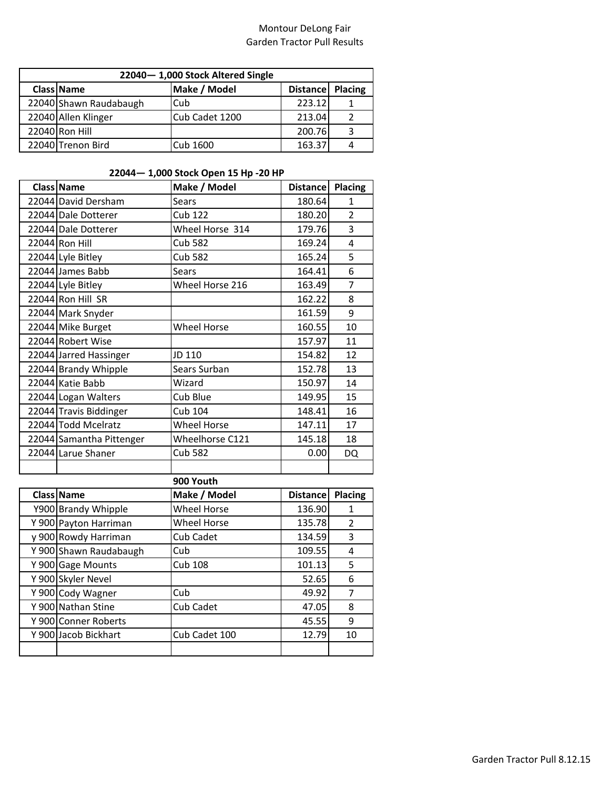| 22040-1,000 Stock Altered Single |                        |                |                  |   |
|----------------------------------|------------------------|----------------|------------------|---|
|                                  | Class Name             | Make / Model   | Distance Placing |   |
|                                  | 22040 Shawn Raudabaugh | Cub            | 223.12           |   |
|                                  | 22040 Allen Klinger    | Cub Cadet 1200 | 213.04           | 2 |
|                                  | 22040 Ron Hill         |                | 200.76           | 3 |
|                                  | 22040 Trenon Bird      | Cub 1600       | 163.37           |   |

### **22044— 1,000 Stock Open 15 Hp -20 HP**

| Class Name               | Make / Model       | Distance Placing |                |
|--------------------------|--------------------|------------------|----------------|
| 22044 David Dersham      | <b>Sears</b>       | 180.64           | 1              |
| 22044 Dale Dotterer      | <b>Cub 122</b>     | 180.20           | $\overline{2}$ |
| 22044 Dale Dotterer      | Wheel Horse 314    | 179.76           | 3              |
| 22044 Ron Hill           | <b>Cub 582</b>     | 169.24           | 4              |
| 22044 Lyle Bitley        | <b>Cub 582</b>     | 165.24           | 5              |
| 22044 James Babb         | Sears              | 164.41           | 6              |
| 22044 Lyle Bitley        | Wheel Horse 216    | 163.49           | 7              |
| 22044 Ron Hill SR        |                    | 162.22           | 8              |
| 22044 Mark Snyder        |                    | 161.59           | 9              |
| 22044 Mike Burget        | <b>Wheel Horse</b> | 160.55           | 10             |
| 22044 Robert Wise        |                    | 157.97           | 11             |
| 22044 Jarred Hassinger   | JD 110             | 154.82           | 12             |
| 22044 Brandy Whipple     | Sears Surban       | 152.78           | 13             |
| 22044 Katie Babb         | Wizard             | 150.97           | 14             |
| 22044 Logan Walters      | Cub Blue           | 149.95           | 15             |
| 22044 Travis Biddinger   | <b>Cub 104</b>     | 148.41           | 16             |
| 22044 Todd Mcelratz      | <b>Wheel Horse</b> | 147.11           | 17             |
| 22044 Samantha Pittenger | Wheelhorse C121    | 145.18           | 18             |
| 22044 Larue Shaner       | <b>Cub 582</b>     | 0.00             | DQ             |
|                          |                    |                  |                |
|                          | 900 Youth          |                  |                |
| Class Name               | Make / Model       | <b>Distance</b>  | <b>Placing</b> |
| Y900 Brandy Whipple      | <b>Wheel Horse</b> | 136.90           | 1              |
| Y 900 Payton Harriman    | <b>Wheel Horse</b> | 135.78           | 2              |
| y 900 Rowdy Harriman     | <b>Cub Cadet</b>   | 134.59           | 3              |
| Y 900 Shawn Raudabaugh   | Cub                | 109.55           | 4              |
| Y 900 Gage Mounts        | <b>Cub 108</b>     | 101.13           | 5              |
| Y 900 Skyler Nevel       |                    | 52.65            | 6              |
| Y 900 Cody Wagner        | Cub                | 49.92            | 7              |
| Y 900 Nathan Stine       | Cub Cadet          | 47.05            | 8              |
| Y 900 Conner Roberts     |                    | 45.55            | 9              |
| Y 900 Jacob Bickhart     | Cub Cadet 100      | 12.79            | 10             |
|                          |                    |                  |                |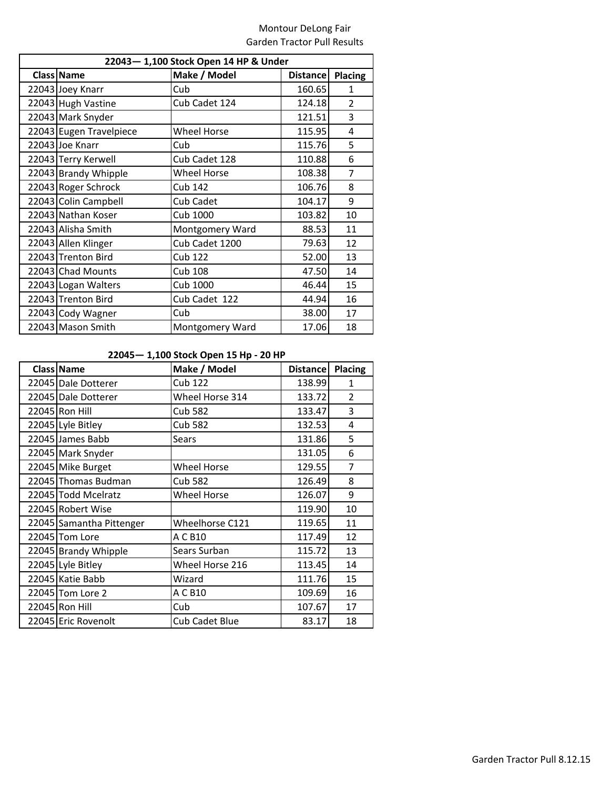| 22043-1,100 Stock Open 14 HP & Under |                        |                 |                |  |  |
|--------------------------------------|------------------------|-----------------|----------------|--|--|
| Class Name                           | Make / Model           | <b>Distance</b> | <b>Placing</b> |  |  |
| 22043 Joey Knarr                     | Cub                    | 160.65          | 1              |  |  |
| 22043 Hugh Vastine                   | Cub Cadet 124          | 124.18          | $\overline{2}$ |  |  |
| 22043 Mark Snyder                    |                        | 121.51          | 3              |  |  |
| 22043 Eugen Travelpiece              | <b>Wheel Horse</b>     | 115.95          | 4              |  |  |
| 22043 Joe Knarr                      | Cub                    | 115.76          | 5              |  |  |
| 22043 Terry Kerwell                  | Cub Cadet 128          | 110.88          | 6              |  |  |
| 22043 Brandy Whipple                 | <b>Wheel Horse</b>     | 108.38          | 7              |  |  |
| 22043 Roger Schrock                  | <b>Cub 142</b>         | 106.76          | 8              |  |  |
| 22043 Colin Campbell                 | Cub Cadet              | 104.17          | 9              |  |  |
| 22043 Nathan Koser                   | Cub 1000               | 103.82          | 10             |  |  |
| 22043 Alisha Smith                   | Montgomery Ward        | 88.53           | 11             |  |  |
| 22043 Allen Klinger                  | Cub Cadet 1200         | 79.63           | 12             |  |  |
| 22043 Trenton Bird                   | <b>Cub 122</b>         | 52.00           | 13             |  |  |
| 22043 Chad Mounts                    | <b>Cub 108</b>         | 47.50           | 14             |  |  |
| 22043 Logan Walters                  | Cub 1000               | 46.44           | 15             |  |  |
| 22043 Trenton Bird                   | Cub Cadet 122          | 44.94           | 16             |  |  |
| 22043 Cody Wagner                    | Cub                    | 38.00           | 17             |  |  |
| 22043 Mason Smith                    | <b>Montgomery Ward</b> | 17.06           | 18             |  |  |

## **22045— 1,100 Stock Open 15 Hp - 20 HP**

| <b>Class Name</b>        | Make / Model       | Distance | Placing        |
|--------------------------|--------------------|----------|----------------|
| 22045 Dale Dotterer      | Cub 122            | 138.99   | 1              |
| 22045 Dale Dotterer      | Wheel Horse 314    | 133.72   | $\overline{2}$ |
| 22045 Ron Hill           | <b>Cub 582</b>     | 133.47   | 3              |
| 22045 Lyle Bitley        | <b>Cub 582</b>     | 132.53   | 4              |
| 22045 James Babb         | Sears              | 131.86   | 5              |
| 22045 Mark Snyder        |                    | 131.05   | 6              |
| 22045 Mike Burget        | <b>Wheel Horse</b> | 129.55   | 7              |
| 22045 Thomas Budman      | <b>Cub 582</b>     | 126.49   | 8              |
| 22045 Todd Mcelratz      | <b>Wheel Horse</b> | 126.07   | 9              |
| 22045 Robert Wise        |                    | 119.90   | 10             |
| 22045 Samantha Pittenger | Wheelhorse C121    | 119.65   | 11             |
| 22045 Tom Lore           | A C B10            | 117.49   | 12             |
| 22045 Brandy Whipple     | Sears Surban       | 115.72   | 13             |
| 22045 Lyle Bitley        | Wheel Horse 216    | 113.45   | 14             |
| 22045 Katie Babb         | Wizard             | 111.76   | 15             |
| 22045 Tom Lore 2         | A C B10            | 109.69   | 16             |
| 22045 Ron Hill           | Cub                | 107.67   | 17             |
| 22045 Eric Rovenolt      | Cub Cadet Blue     | 83.17    | 18             |